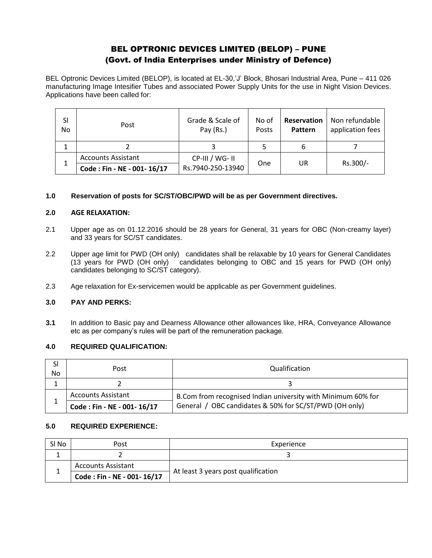# BEL OPTRONIC DEVICES LIMITED (BELOP) – PUNE (Govt. of India Enterprises under Ministry of Defence)

BEL Optronic Devices Limited (BELOP), is located at EL-30,'J' Block, Bhosari Industrial Area, Pune – 411 026 manufacturing Image Intesifier Tubes and associated Power Supply Units for the use in Night Vision Devices. Applications have been called for:

| SI<br>N <sub>o</sub> | Post                       | Grade & Scale of<br>Pay (Rs.) | No of<br>Posts | <b>Reservation</b><br>Pattern | Non refundable<br>application fees |
|----------------------|----------------------------|-------------------------------|----------------|-------------------------------|------------------------------------|
|                      |                            |                               |                | 6                             |                                    |
|                      | <b>Accounts Assistant</b>  | CP-III / WG- II               | One            | UR                            | Rs.300/-                           |
|                      | Code: Fin - NE - 001-16/17 | Rs.7940-250-13940             |                |                               |                                    |

# **1.0 Reservation of posts for SC/ST/OBC/PWD will be as per Government directives.**

## **2.0 AGE RELAXATION:**

- 2.1 Upper age as on 01.12.2016 should be 28 years for General, 31 years for OBC (Non-creamy layer) and 33 years for SC/ST candidates.
- 2.2 Upper age limit for PWD (OH only) candidates shall be relaxable by 10 years for General Candidates (13 years for PWD (OH only) candidates belonging to OBC and 15 years for PWD (OH only) candidates belonging to SC/ST category).
- 2.3 Age relaxation for Ex-servicemen would be applicable as per Government guidelines.

# **3.0 PAY AND PERKS:**

**3.1** In addition to Basic pay and Dearness Allowance other allowances like, HRA, Conveyance Allowance etc as per company's rules will be part of the remuneration package.

## **4.0 REQUIRED QUALIFICATION:**

| SI<br>No | Post                       | Qualification                                                |  |
|----------|----------------------------|--------------------------------------------------------------|--|
|          |                            |                                                              |  |
|          | <b>Accounts Assistant</b>  | B.Com from recognised Indian university with Minimum 60% for |  |
|          | Code: Fin - NE - 001-16/17 | General / OBC candidates & 50% for SC/ST/PWD (OH only)       |  |

# **5.0 REQUIRED EXPERIENCE:**

| SI No | Post                       | Experience                          |  |
|-------|----------------------------|-------------------------------------|--|
|       |                            |                                     |  |
|       | <b>Accounts Assistant</b>  | At least 3 years post qualification |  |
|       | Code: Fin - NE - 001-16/17 |                                     |  |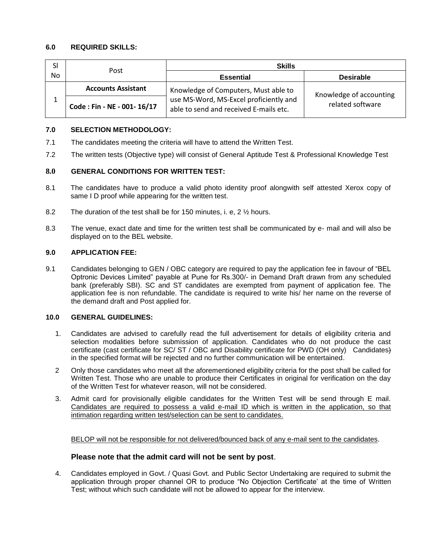# **6.0 REQUIRED SKILLS:**

| SI  | Post                       | <b>Skills</b>                                                                    |                         |  |
|-----|----------------------------|----------------------------------------------------------------------------------|-------------------------|--|
| No. |                            | <b>Essential</b>                                                                 | <b>Desirable</b>        |  |
|     | <b>Accounts Assistant</b>  | Knowledge of Computers, Must able to                                             | Knowledge of accounting |  |
|     | Code: Fin - NE - 001-16/17 | use MS-Word, MS-Excel proficiently and<br>able to send and received E-mails etc. | related software        |  |

## **7.0 SELECTION METHODOLOGY:**

- 7.1 The candidates meeting the criteria will have to attend the Written Test.
- 7.2 The written tests (Objective type) will consist of General Aptitude Test & Professional Knowledge Test

# **8.0 GENERAL CONDITIONS FOR WRITTEN TEST:**

- 8.1 The candidates have to produce a valid photo identity proof alongwith self attested Xerox copy of same I D proof while appearing for the written test.
- 8.2 The duration of the test shall be for 150 minutes, i. e, 2 ½ hours.
- 8.3 The venue, exact date and time for the written test shall be communicated by e- mail and will also be displayed on to the BEL website.

## **9.0 APPLICATION FEE:**

9.1 Candidates belonging to GEN / OBC category are required to pay the application fee in favour of "BEL Optronic Devices Limited" payable at Pune for Rs.300/- in Demand Draft drawn from any scheduled bank (preferably SBI). SC and ST candidates are exempted from payment of application fee. The application fee is non refundable. The candidate is required to write his/ her name on the reverse of the demand draft and Post applied for.

#### **10.0 GENERAL GUIDELINES:**

- 1. Candidates are advised to carefully read the full advertisement for details of eligibility criteria and selection modalities before submission of application. Candidates who do not produce the cast certificate (cast certificate for SC/ ST / OBC and Disability certificate for PWD (OH only) Candidates) in the specified format will be rejected and no further communication will be entertained.
- 2 Only those candidates who meet all the aforementioned eligibility criteria for the post shall be called for Written Test. Those who are unable to produce their Certificates in original for verification on the day of the Written Test for whatever reason, will not be considered.
- 3. Admit card for provisionally eligible candidates for the Written Test will be send through E mail. Candidates are required to possess a valid e-mail ID which is written in the application, so that intimation regarding written test/selection can be sent to candidates.

BELOP will not be responsible for not delivered/bounced back of any e-mail sent to the candidates.

# **Please note that the admit card will not be sent by post**.

4. Candidates employed in Govt. / Quasi Govt. and Public Sector Undertaking are required to submit the application through proper channel OR to produce "No Objection Certificate' at the time of Written Test; without which such candidate will not be allowed to appear for the interview.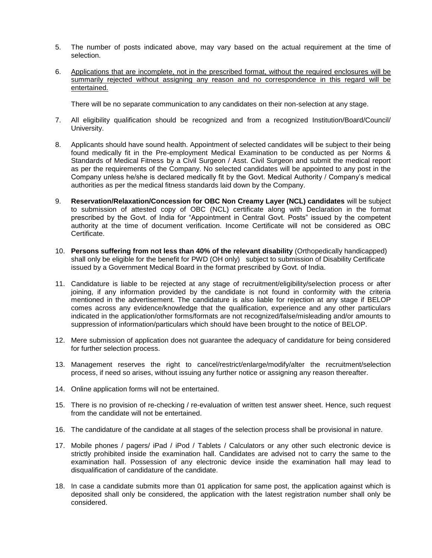- 5. The number of posts indicated above, may vary based on the actual requirement at the time of selection.
- 6. Applications that are incomplete, not in the prescribed format, without the required enclosures will be summarily rejected without assigning any reason and no correspondence in this regard will be entertained.

There will be no separate communication to any candidates on their non-selection at any stage.

- 7. All eligibility qualification should be recognized and from a recognized Institution/Board/Council/ University.
- 8. Applicants should have sound health. Appointment of selected candidates will be subject to their being found medically fit in the Pre-employment Medical Examination to be conducted as per Norms & Standards of Medical Fitness by a Civil Surgeon / Asst. Civil Surgeon and submit the medical report as per the requirements of the Company. No selected candidates will be appointed to any post in the Company unless he/she is declared medically fit by the Govt. Medical Authority / Company's medical authorities as per the medical fitness standards laid down by the Company.
- 9. **Reservation/Relaxation/Concession for OBC Non Creamy Layer (NCL) candidates** will be subject to submission of attested copy of OBC (NCL) certificate along with Declaration in the format prescribed by the Govt. of India for "Appointment in Central Govt. Posts" issued by the competent authority at the time of document verification. Income Certificate will not be considered as OBC Certificate.
- 10. **Persons suffering from not less than 40% of the relevant disability** (Orthopedically handicapped) shall only be eligible for the benefit for PWD (OH only) subject to submission of Disability Certificate issued by a Government Medical Board in the format prescribed by Govt. of India.
- 11. Candidature is liable to be rejected at any stage of recruitment/eligibility/selection process or after joining, if any information provided by the candidate is not found in conformity with the criteria mentioned in the advertisement. The candidature is also liable for rejection at any stage if BELOP comes across any evidence/knowledge that the qualification, experience and any other particulars indicated in the application/other forms/formats are not recognized/false/misleading and/or amounts to suppression of information/particulars which should have been brought to the notice of BELOP.
- 12. Mere submission of application does not guarantee the adequacy of candidature for being considered for further selection process.
- 13. Management reserves the right to cancel/restrict/enlarge/modify/alter the recruitment/selection process, if need so arises, without issuing any further notice or assigning any reason thereafter.
- 14. Online application forms will not be entertained.
- 15. There is no provision of re-checking / re-evaluation of written test answer sheet. Hence, such request from the candidate will not be entertained.
- 16. The candidature of the candidate at all stages of the selection process shall be provisional in nature.
- 17. Mobile phones / pagers/ iPad / iPod / Tablets / Calculators or any other such electronic device is strictly prohibited inside the examination hall. Candidates are advised not to carry the same to the examination hall. Possession of any electronic device inside the examination hall may lead to disqualification of candidature of the candidate.
- 18. In case a candidate submits more than 01 application for same post, the application against which is deposited shall only be considered, the application with the latest registration number shall only be considered.